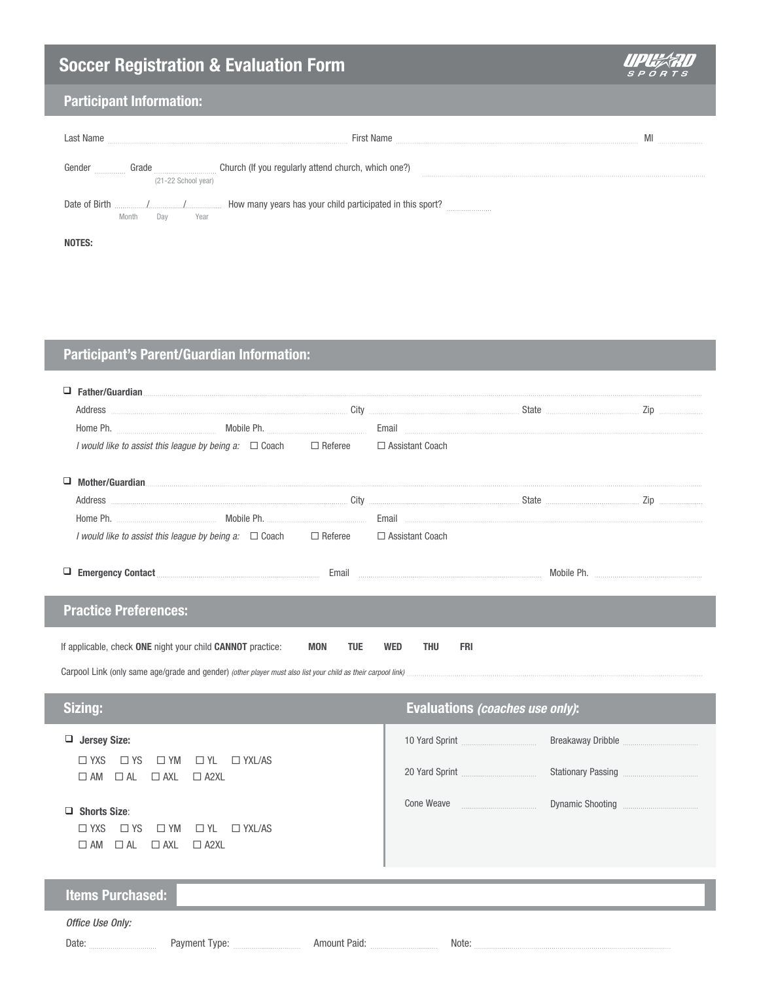# **Soccer Registration & Evaluation Form**



### **Participant Information:**

| ast Name                                                  | <b>First Name</b>                                   |  |
|-----------------------------------------------------------|-----------------------------------------------------|--|
| *****************************<br>.<br>(21-22 School year) | Church (If you regularly attend church, which one?) |  |
| Date of Birth<br>Year<br>Month<br>Dav                     |                                                     |  |
|                                                           |                                                     |  |

## **Participant's Parent/Guardian Information:**

| Address <b>Example 20</b> 2ip <b>Example 2ip 19</b> 2ip <b>City City City City City City City City City City City City City City City City City City City City City City City City City </b>                                  |               |  |                                       |  |  |  |
|-------------------------------------------------------------------------------------------------------------------------------------------------------------------------------------------------------------------------------|---------------|--|---------------------------------------|--|--|--|
|                                                                                                                                                                                                                               |               |  |                                       |  |  |  |
| I would like to assist this league by being a: □ Coach □ Referee                                                                                                                                                              |               |  | □ Assistant Coach                     |  |  |  |
|                                                                                                                                                                                                                               |               |  |                                       |  |  |  |
| Address <b>Example 20</b> 2ip <b>Example 2ip 19</b> 2ip <b>City City City City City City City City City City City City City City City City City City City City City City City City City </b>                                  |               |  |                                       |  |  |  |
|                                                                                                                                                                                                                               |               |  |                                       |  |  |  |
| <i>I would like to assist this league by being a</i> : $\Box$ Coach $\Box$ Referee $\Box$ Assistant Coach                                                                                                                     |               |  |                                       |  |  |  |
| D Emergency Contact Emmillion Contact Contact Control Control Control Control Control Contact Control Contact Control Control Control Control Control Control Control Control Control Control Control Control Control Control |               |  |                                       |  |  |  |
| <b>Practice Preferences:</b>                                                                                                                                                                                                  |               |  |                                       |  |  |  |
| If applicable, check ONE night your child CANNOT practice:<br><b>MON</b><br><b>TUE</b><br><b>WED</b><br><b>THU</b><br><b>FRI</b>                                                                                              |               |  |                                       |  |  |  |
| Sizing:                                                                                                                                                                                                                       |               |  | Evaluations (coaches use only):       |  |  |  |
|                                                                                                                                                                                                                               |               |  |                                       |  |  |  |
| $\Box$ Jersey Size:                                                                                                                                                                                                           |               |  |                                       |  |  |  |
| $\square$ YS<br>$\Box$ YXS<br>$\square$ YM<br>$\Box$ YL $\Box$ YXL/AS                                                                                                                                                         |               |  |                                       |  |  |  |
| $\Box$ AM $\Box$ AL $\Box$ AXL<br>$\Box$ A2XL                                                                                                                                                                                 |               |  |                                       |  |  |  |
| $\Box$ Shorts Size:<br>$\Box$ YXS<br>$\square$ YS<br>$\Box$ YM<br>$\Box$ YL<br>$\Box$ AL<br>$\Box$ AXL<br>$\square$ AM<br>$\Box$ A2XL                                                                                         | $\Box$ YXL/AS |  | Cone Weave <b>Constant Controller</b> |  |  |  |
| <b>Items Purchased:</b>                                                                                                                                                                                                       |               |  |                                       |  |  |  |
| Office Use Only:                                                                                                                                                                                                              |               |  |                                       |  |  |  |